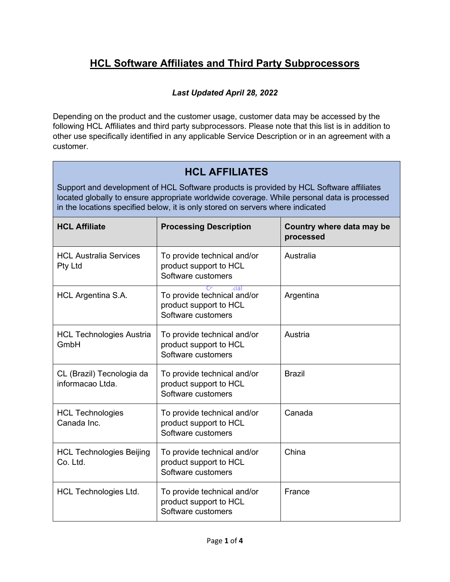## **HCL Software Affiliates and Third Party Subprocessors**

## *Last Updated April 28, 2022*

Depending on the product and the customer usage, customer data may be accessed by the following HCL Affiliates and third party subprocessors. Please note that this list is in addition to other use specifically identified in any applicable Service Description or in an agreement with a customer.

| <b>HCL AFFILIATES</b>                                                                                                                                                                                                                                                    |                                                                                      |                                        |  |  |
|--------------------------------------------------------------------------------------------------------------------------------------------------------------------------------------------------------------------------------------------------------------------------|--------------------------------------------------------------------------------------|----------------------------------------|--|--|
| Support and development of HCL Software products is provided by HCL Software affiliates<br>located globally to ensure appropriate worldwide coverage. While personal data is processed<br>in the locations specified below, it is only stored on servers where indicated |                                                                                      |                                        |  |  |
| <b>HCL Affiliate</b>                                                                                                                                                                                                                                                     | <b>Processing Description</b>                                                        | Country where data may be<br>processed |  |  |
| <b>HCL Australia Services</b><br>Pty Ltd                                                                                                                                                                                                                                 | To provide technical and/or<br>product support to HCL<br>Software customers          | Australia                              |  |  |
| HCL Argentina S.A.                                                                                                                                                                                                                                                       | .cial<br>To provide technical and/or<br>product support to HCL<br>Software customers | Argentina                              |  |  |
| <b>HCL Technologies Austria</b><br>GmbH                                                                                                                                                                                                                                  | To provide technical and/or<br>product support to HCL<br>Software customers          | Austria                                |  |  |
| CL (Brazil) Tecnologia da<br>informacao Ltda.                                                                                                                                                                                                                            | To provide technical and/or<br>product support to HCL<br>Software customers          | <b>Brazil</b>                          |  |  |
| <b>HCL Technologies</b><br>Canada Inc.                                                                                                                                                                                                                                   | To provide technical and/or<br>product support to HCL<br>Software customers          | Canada                                 |  |  |
| <b>HCL Technologies Beijing</b><br>Co. Ltd.                                                                                                                                                                                                                              | To provide technical and/or<br>product support to HCL<br>Software customers          | China                                  |  |  |
| <b>HCL Technologies Ltd.</b>                                                                                                                                                                                                                                             | To provide technical and/or<br>product support to HCL<br>Software customers          | France                                 |  |  |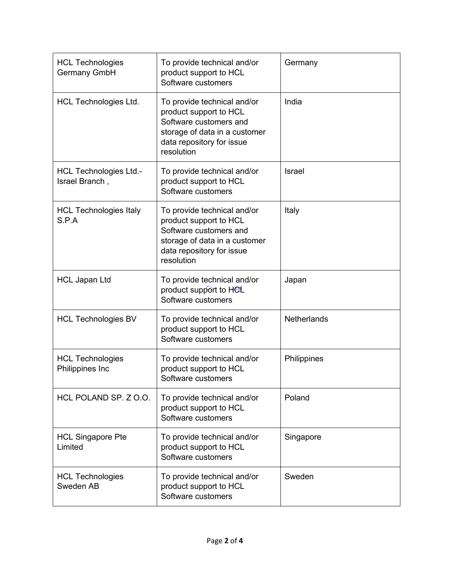| <b>HCL Technologies</b><br><b>Germany GmbH</b>  | To provide technical and/or<br>product support to HCL<br>Software customers                                                                                 | Germany            |
|-------------------------------------------------|-------------------------------------------------------------------------------------------------------------------------------------------------------------|--------------------|
| <b>HCL Technologies Ltd.</b>                    | To provide technical and/or<br>product support to HCL<br>Software customers and<br>storage of data in a customer<br>data repository for issue<br>resolution | India              |
| <b>HCL Technologies Ltd.-</b><br>Israel Branch, | To provide technical and/or<br>product support to HCL<br>Software customers                                                                                 | Israel             |
| <b>HCL Technologies Italy</b><br>S.P.A          | To provide technical and/or<br>product support to HCL<br>Software customers and<br>storage of data in a customer<br>data repository for issue<br>resolution | Italy              |
| <b>HCL Japan Ltd</b>                            | To provide technical and/or<br>product support to HCL<br>Software customers                                                                                 | Japan              |
| <b>HCL Technologies BV</b>                      | To provide technical and/or<br>product support to HCL<br>Software customers                                                                                 | <b>Netherlands</b> |
| <b>HCL Technologies</b><br>Philippines Inc      | To provide technical and/or<br>product support to HCL<br>Software customers                                                                                 | Philippines        |
| HCL POLAND SP. Z O.O.                           | To provide technical and/or<br>product support to HCL<br>Software customers                                                                                 | Poland             |
| <b>HCL Singapore Pte</b><br>Limited             | To provide technical and/or<br>product support to HCL<br>Software customers                                                                                 | Singapore          |
| <b>HCL Technologies</b><br>Sweden AB            | To provide technical and/or<br>product support to HCL<br>Software customers                                                                                 | Sweden             |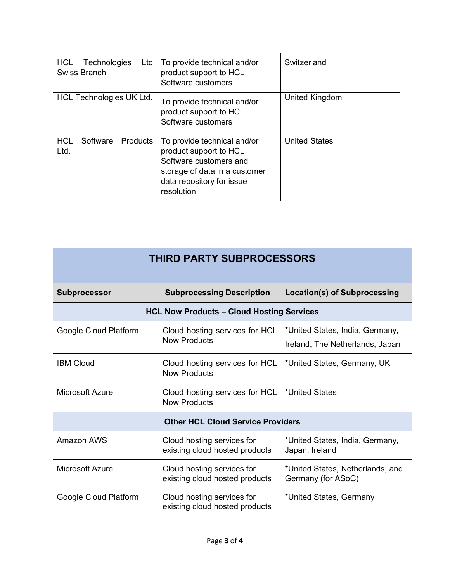| Technologies<br><b>HCL</b><br>Ltd<br>Swiss Branch | To provide technical and/or<br>product support to HCL<br>Software customers                                                                                 | Switzerland          |
|---------------------------------------------------|-------------------------------------------------------------------------------------------------------------------------------------------------------------|----------------------|
| HCL Technologies UK Ltd.                          | To provide technical and/or<br>product support to HCL<br>Software customers                                                                                 | United Kingdom       |
| Software Products<br><b>HCL</b><br>Ltd.           | To provide technical and/or<br>product support to HCL<br>Software customers and<br>storage of data in a customer<br>data repository for issue<br>resolution | <b>United States</b> |

| THIRD PARTY SUBPROCESSORS                        |                                                              |                                                                    |  |  |
|--------------------------------------------------|--------------------------------------------------------------|--------------------------------------------------------------------|--|--|
| <b>Subprocessor</b>                              | <b>Subprocessing Description</b>                             | <b>Location(s) of Subprocessing</b>                                |  |  |
| <b>HCL Now Products - Cloud Hosting Services</b> |                                                              |                                                                    |  |  |
| Google Cloud Platform                            | Cloud hosting services for HCL<br><b>Now Products</b>        | *United States, India, Germany,<br>Ireland, The Netherlands, Japan |  |  |
| <b>IBM Cloud</b>                                 | Cloud hosting services for HCL<br><b>Now Products</b>        | *United States, Germany, UK                                        |  |  |
| Microsoft Azure                                  | Cloud hosting services for HCL<br><b>Now Products</b>        | *United States                                                     |  |  |
| <b>Other HCL Cloud Service Providers</b>         |                                                              |                                                                    |  |  |
| <b>Amazon AWS</b>                                | Cloud hosting services for<br>existing cloud hosted products | *United States, India, Germany,<br>Japan, Ireland                  |  |  |
| Microsoft Azure                                  | Cloud hosting services for<br>existing cloud hosted products | *United States, Netherlands, and<br>Germany (for ASoC)             |  |  |
| Google Cloud Platform                            | Cloud hosting services for<br>existing cloud hosted products | *United States, Germany                                            |  |  |